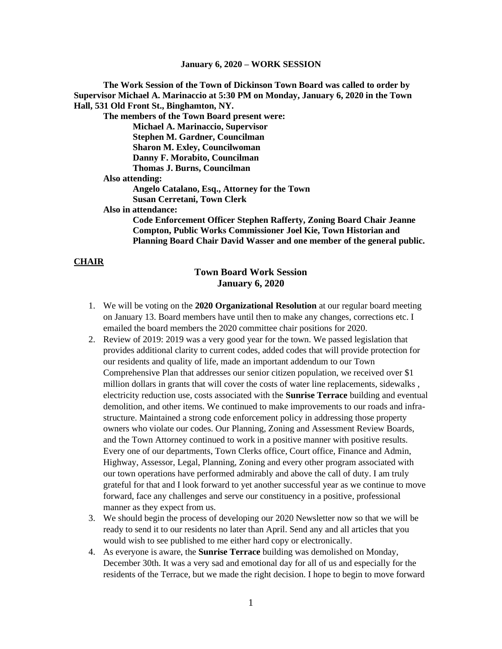#### **January 6, 2020 – WORK SESSION**

**The Work Session of the Town of Dickinson Town Board was called to order by Supervisor Michael A. Marinaccio at 5:30 PM on Monday, January 6, 2020 in the Town Hall, 531 Old Front St., Binghamton, NY.**

**The members of the Town Board present were: Michael A. Marinaccio, Supervisor Stephen M. Gardner, Councilman Sharon M. Exley, Councilwoman Danny F. Morabito, Councilman Thomas J. Burns, Councilman Also attending:**

> **Angelo Catalano, Esq., Attorney for the Town Susan Cerretani, Town Clerk**

**Also in attendance:** 

**Code Enforcement Officer Stephen Rafferty, Zoning Board Chair Jeanne Compton, Public Works Commissioner Joel Kie, Town Historian and Planning Board Chair David Wasser and one member of the general public.**

#### **CHAIR**

# **Town Board Work Session January 6, 2020**

- 1. We will be voting on the **2020 Organizational Resolution** at our regular board meeting on January 13. Board members have until then to make any changes, corrections etc. I emailed the board members the 2020 committee chair positions for 2020.
- 2. Review of 2019: 2019 was a very good year for the town. We passed legislation that provides additional clarity to current codes, added codes that will provide protection for our residents and quality of life, made an important addendum to our Town Comprehensive Plan that addresses our senior citizen population, we received over \$1 million dollars in grants that will cover the costs of water line replacements, sidewalks , electricity reduction use, costs associated with the **Sunrise Terrace** building and eventual demolition, and other items. We continued to make improvements to our roads and infrastructure. Maintained a strong code enforcement policy in addressing those property owners who violate our codes. Our Planning, Zoning and Assessment Review Boards, and the Town Attorney continued to work in a positive manner with positive results. Every one of our departments, Town Clerks office, Court office, Finance and Admin, Highway, Assessor, Legal, Planning, Zoning and every other program associated with our town operations have performed admirably and above the call of duty. I am truly grateful for that and I look forward to yet another successful year as we continue to move forward, face any challenges and serve our constituency in a positive, professional manner as they expect from us.
- 3. We should begin the process of developing our 2020 Newsletter now so that we will be ready to send it to our residents no later than April. Send any and all articles that you would wish to see published to me either hard copy or electronically.
- 4. As everyone is aware, the **Sunrise Terrace** building was demolished on Monday, December 30th. It was a very sad and emotional day for all of us and especially for the residents of the Terrace, but we made the right decision. I hope to begin to move forward